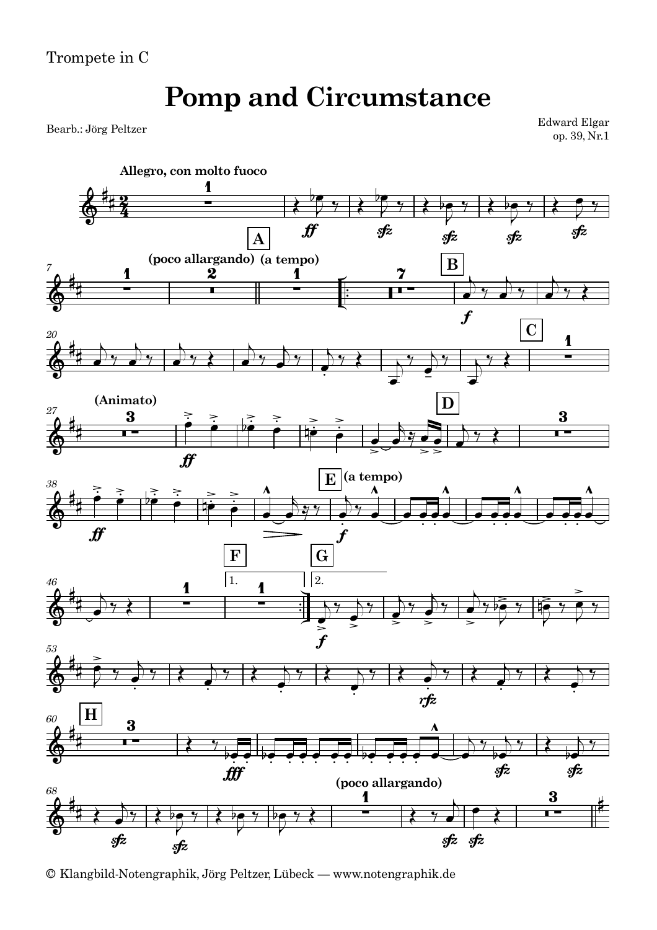## **Pomp and Circumstance**

Bearb.: Jörg Peltzer

Edward Elgar op. 39, Nr.1



© Klangbild-Notengraphik, Jörg Peltzer, Lübeck — www.notengraphik.de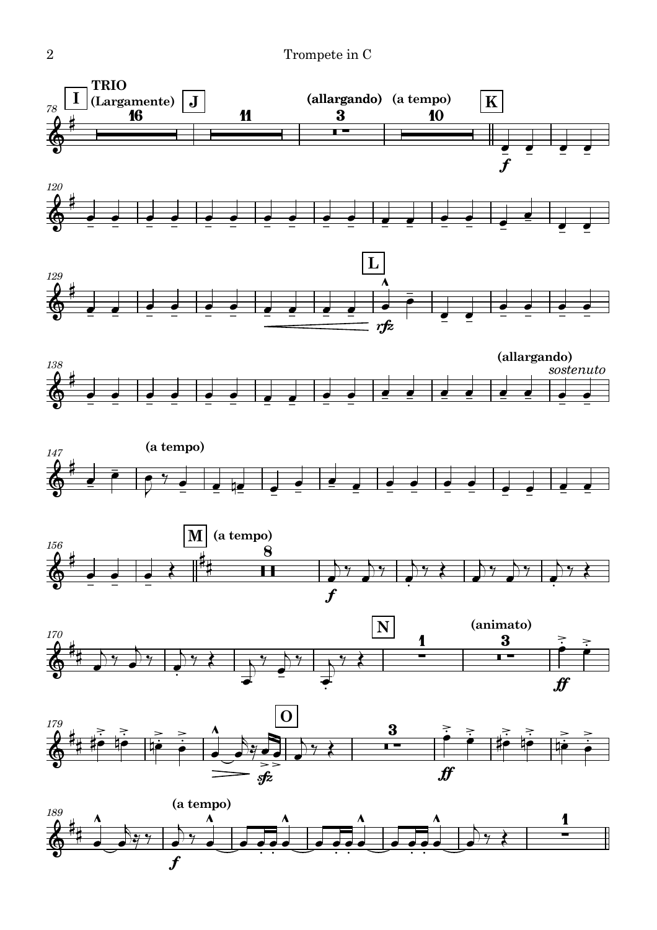2 Trompete in C